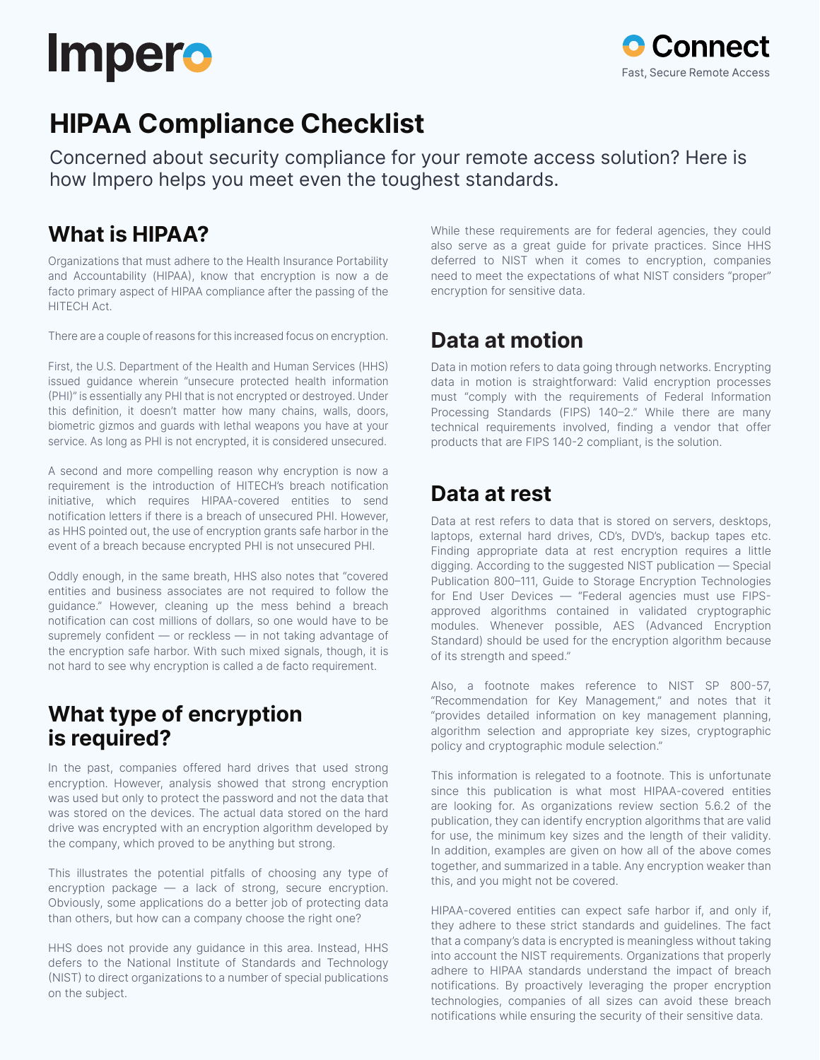# **Impero**



## **HIPAA Compliance Checklist**

Concerned about security compliance for your remote access solution? Here is how Impero helps you meet even the toughest standards.

### **What is HIPAA?**

Organizations that must adhere to the Health Insurance Portability and Accountability (HIPAA), know that encryption is now a de facto primary aspect of HIPAA compliance after the passing of the HITECH Act.

There are a couple of reasons for this increased focus on encryption.

First, the U.S. Department of the Health and Human Services (HHS) issued guidance wherein "unsecure protected health information (PHI)" is essentially any PHI that is not encrypted or destroyed. Under this definition, it doesn't matter how many chains, walls, doors, biometric gizmos and guards with lethal weapons you have at your service. As long as PHI is not encrypted, it is considered unsecured.

A second and more compelling reason why encryption is now a requirement is the introduction of HITECH's breach notification initiative, which requires HIPAA-covered entities to send notification letters if there is a breach of unsecured PHI. However, as HHS pointed out, the use of encryption grants safe harbor in the event of a breach because encrypted PHI is not unsecured PHI.

Oddly enough, in the same breath, HHS also notes that "covered entities and business associates are not required to follow the guidance." However, cleaning up the mess behind a breach notification can cost millions of dollars, so one would have to be supremely confident — or reckless — in not taking advantage of the encryption safe harbor. With such mixed signals, though, it is not hard to see why encryption is called a de facto requirement.

### **What type of encryption is required?**

In the past, companies offered hard drives that used strong encryption. However, analysis showed that strong encryption was used but only to protect the password and not the data that was stored on the devices. The actual data stored on the hard drive was encrypted with an encryption algorithm developed by the company, which proved to be anything but strong.

This illustrates the potential pitfalls of choosing any type of encryption package — a lack of strong, secure encryption. Obviously, some applications do a better job of protecting data than others, but how can a company choose the right one?

HHS does not provide any guidance in this area. Instead, HHS defers to the National Institute of Standards and Technology (NIST) to direct organizations to a number of special publications on the subject.

While these requirements are for federal agencies, they could also serve as a great guide for private practices. Since HHS deferred to NIST when it comes to encryption, companies need to meet the expectations of what NIST considers "proper" encryption for sensitive data.

### **Data at motion**

Data in motion refers to data going through networks. Encrypting data in motion is straightforward: Valid encryption processes must "comply with the requirements of Federal Information Processing Standards (FIPS) 140–2." While there are many technical requirements involved, finding a vendor that offer products that are FIPS 140-2 compliant, is the solution.

### **Data at rest**

Data at rest refers to data that is stored on servers, desktops, laptops, external hard drives, CD's, DVD's, backup tapes etc. Finding appropriate data at rest encryption requires a little digging. According to the suggested NIST publication — Special Publication 800–111, Guide to Storage Encryption Technologies for End User Devices — "Federal agencies must use FIPSapproved algorithms contained in validated cryptographic modules. Whenever possible, AES (Advanced Encryption Standard) should be used for the encryption algorithm because of its strength and speed."

Also, a footnote makes reference to NIST SP 800-57, "Recommendation for Key Management," and notes that it "provides detailed information on key management planning, algorithm selection and appropriate key sizes, cryptographic policy and cryptographic module selection."

This information is relegated to a footnote. This is unfortunate since this publication is what most HIPAA-covered entities are looking for. As organizations review section 5.6.2 of the publication, they can identify encryption algorithms that are valid for use, the minimum key sizes and the length of their validity. In addition, examples are given on how all of the above comes together, and summarized in a table. Any encryption weaker than this, and you might not be covered.

HIPAA-covered entities can expect safe harbor if, and only if, they adhere to these strict standards and guidelines. The fact that a company's data is encrypted is meaningless without taking into account the NIST requirements. Organizations that properly adhere to HIPAA standards understand the impact of breach notifications. By proactively leveraging the proper encryption technologies, companies of all sizes can avoid these breach notifications while ensuring the security of their sensitive data.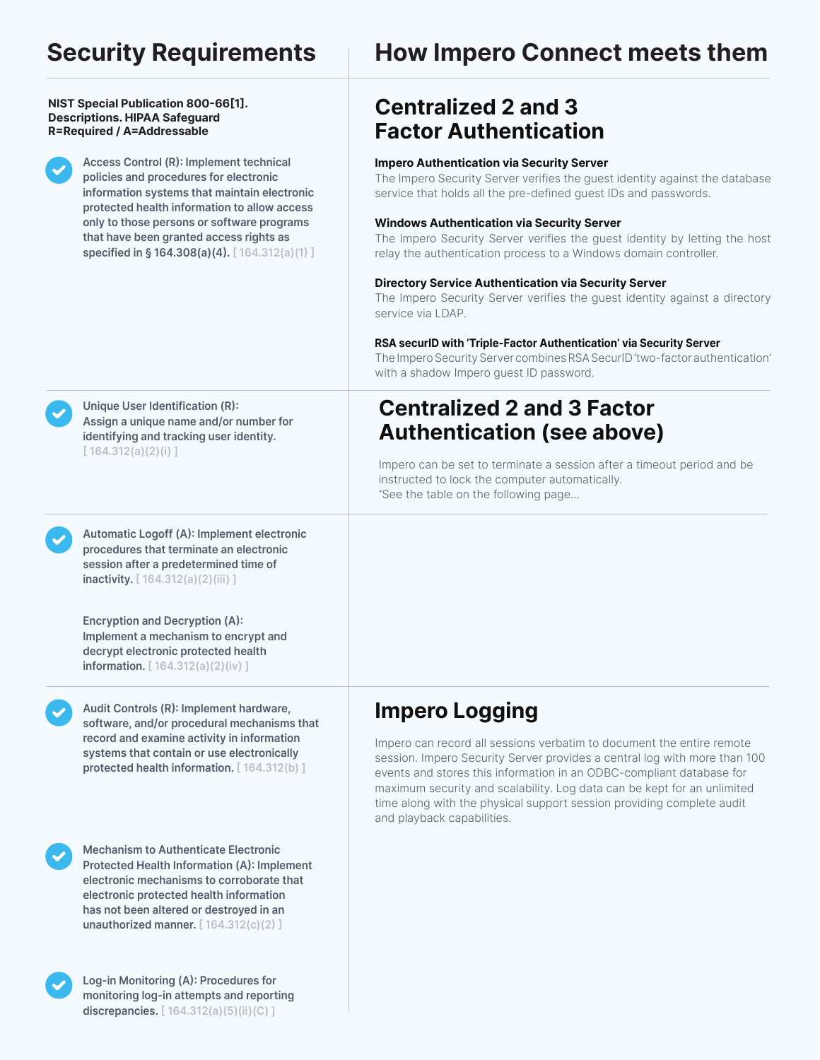#### **NIST Special Publication 800-66[1]. Descriptions. HIPAA Safeguard R=Required / A=Addressable**

**Access Control (R): Implement technical policies and procedures for electronic information systems that maintain electronic protected health information to allow access only to those persons or software programs that have been granted access rights as specified in § 164.308(a)(4). [ 164.312(a)(1) ]**

### **Security Requirements How Impero Connect meets them**

### **Centralized 2 and 3 Factor Authentication**

### **Impero Authentication via Security Server**

The Impero Security Server verifies the guest identity against the database service that holds all the pre-defined guest IDs and passwords.

### **Windows Authentication via Security Server**

The Impero Security Server verifies the guest identity by letting the host relay the authentication process to a Windows domain controller.

### **Directory Service Authentication via Security Server**

The Impero Security Server verifies the guest identity against a directory service via LDAP.

#### **RSA securID with 'Triple-Factor Authentication' via Security Server**

The Impero Security Server combines RSA SecurID 'two-factor authentication' with a shadow Impero guest ID password.

### **Centralized 2 and 3 Factor Authentication (see above)**

Impero can be set to terminate a session after a timeout period and be instructed to lock the computer automatically. \* See the table on the following page...

#### **Unique User Identification (R): Assign a unique name and/or number for identifying and tracking user identity. [ 164.312(a)(2)(i) ]**

**Automatic Logoff (A): Implement electronic procedures that terminate an electronic session after a predetermined time of inactivity. [ 164.312(a)(2)(iii) ]**

**Encryption and Decryption (A): Implement a mechanism to encrypt and decrypt electronic protected health information. [ 164.312(a)(2)(iv) ]**

**Audit Controls (R): Implement hardware, software, and/or procedural mechanisms that record and examine activity in information systems that contain or use electronically protected health information. [ 164.312(b) ]**

**Mechanism to Authenticate Electronic Protected Health Information (A): Implement electronic mechanisms to corroborate that electronic protected health information has not been altered or destroyed in an unauthorized manner. [ 164.312(c)(2) ]**

**Log-in Monitoring (A): Procedures for monitoring log-in attempts and reporting discrepancies. [ 164.312(a)(5)(ii)(C) ]**

### **Impero Logging**

Impero can record all sessions verbatim to document the entire remote session. Impero Security Server provides a central log with more than 100 events and stores this information in an ODBC-compliant database for maximum security and scalability. Log data can be kept for an unlimited time along with the physical support session providing complete audit and playback capabilities.